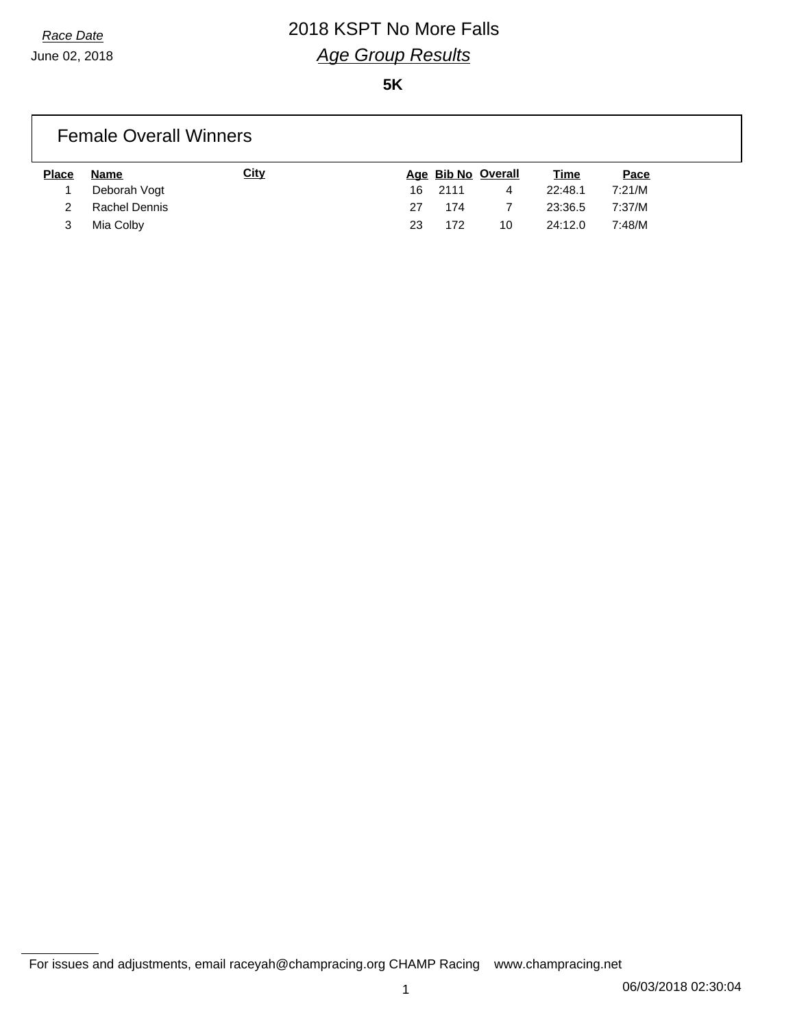## *Race Date* 2018 KSPT No More Falls *Age Group Results*

**5K**

|              | <b>Female Overall Winners</b> |             |     |      |                    |         |        |  |
|--------------|-------------------------------|-------------|-----|------|--------------------|---------|--------|--|
| <b>Place</b> | Name                          | <u>City</u> |     |      | Age Bib No Overall | Time    | Pace   |  |
|              | Deborah Vogt                  |             | 16. | 2111 | 4                  | 22:48.1 | 7:21/M |  |
|              | Rachel Dennis                 |             | 27  | 174  |                    | 23:36.5 | 7:37/M |  |
| 3            | Mia Colby                     |             | 23  | 172  | 10                 | 24:12.0 | 7:48/M |  |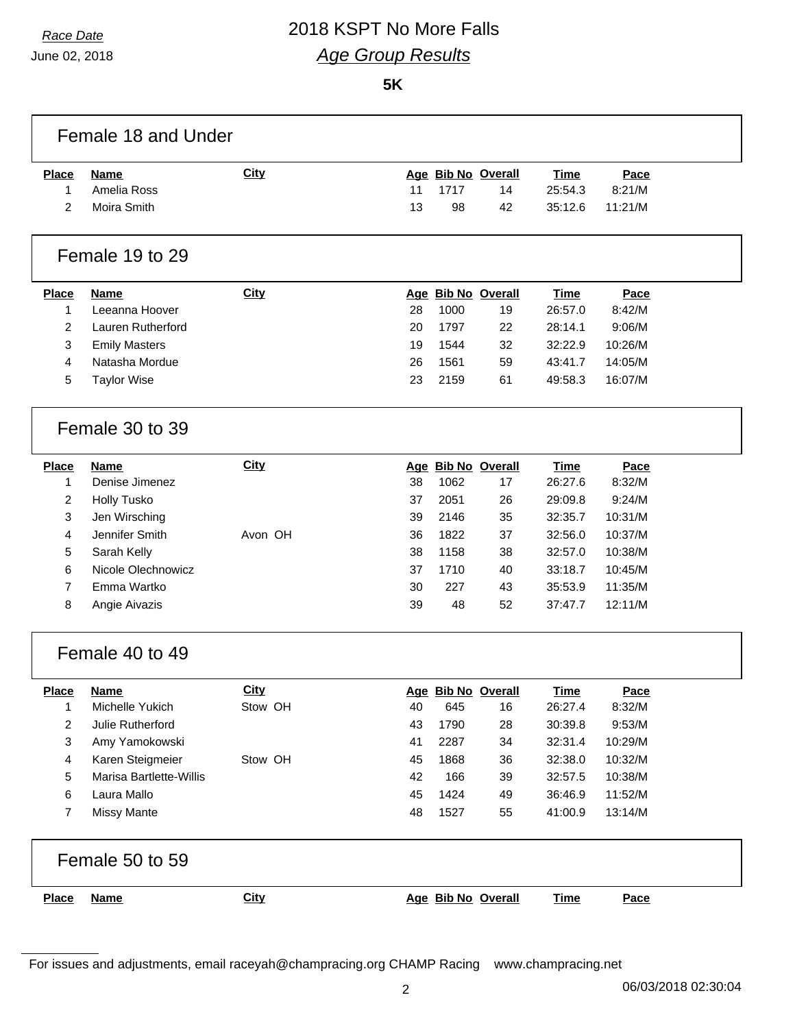## *Race Date* 2018 KSPT No More Falls *Age Group Results*

June 02, 2018

#### **5K**

|                   | Female 18 and Under        |             |    |      |                          |                 |                |
|-------------------|----------------------------|-------------|----|------|--------------------------|-----------------|----------------|
| <b>Place</b><br>1 | <b>Name</b><br>Amelia Ross | <b>City</b> | 11 | 1717 | Age Bib No Overall<br>14 | Time<br>25:54.3 | Pace<br>8:21/M |
| 2                 | Moira Smith                |             | 13 | 98   | 42                       | 35:12.6         | 11:21/M        |
| Female 19 to 29   |                            |             |    |      |                          |                 |                |
| <b>Place</b>      | <b>Name</b>                | <b>City</b> |    |      | Age Bib No Overall       | <b>Time</b>     | Pace           |
| 1                 | Leeanna Hoover             |             | 28 | 1000 | 19                       | 26:57.0         | 8:42/M         |
| $\overline{2}$    | Lauren Rutherford          |             | 20 | 1797 | 22                       | 28:14.1         | 9:06/M         |
| 3                 | <b>Emily Masters</b>       |             | 19 | 1544 | 32                       | 32:22.9         | 10:26/M        |
| 4                 | Natasha Mordue             |             | 26 | 1561 | 59                       | 43:41.7         | 14:05/M        |
| 5                 | <b>Taylor Wise</b>         |             | 23 | 2159 | 61                       | 49:58.3         | 16:07/M        |
|                   | Female 30 to 39            |             |    |      |                          |                 |                |
| <b>Place</b>      | Name                       | <b>City</b> |    |      | Age Bib No Overall       | <b>Time</b>     | Pace           |
| $\mathbf{1}$      | Denise Jimenez             |             | 38 | 1062 | 17                       | 26:27.6         | 8:32/M         |
| 2                 | <b>Holly Tusko</b>         |             | 37 | 2051 | 26                       | 29:09.8         | 9:24/M         |
| 3                 | Jen Wirsching              |             | 39 | 2146 | 35                       | 32:35.7         | 10:31/M        |
| 4                 | Jennifer Smith             | Avon OH     | 36 | 1822 | 37                       | 32:56.0         | 10:37/M        |
| 5                 | Sarah Kelly                |             | 38 | 1158 | 38                       | 32:57.0         | 10:38/M        |
| 6                 | Nicole Olechnowicz         |             | 37 | 1710 | 40                       | 33:18.7         | 10:45/M        |
| $\overline{7}$    | Emma Wartko                |             | 30 | 227  | 43                       | 35:53.9         | 11:35/M        |
| 8                 | Angie Aivazis              |             | 39 | 48   | 52                       | 37:47.7         | 12:11/M        |
|                   | Female 40 to 49            |             |    |      |                          |                 |                |
| <b>Place</b>      | <b>Name</b>                | City        |    |      | Age Bib No Overall       | <b>Time</b>     | Pace           |
| 1                 | Michelle Yukich            | Stow OH     | 40 | 645  | 16                       | 26:27.4         | 8:32/M         |
| 2                 | Julie Rutherford           |             | 43 | 1790 | 28                       | 30:39.8         | 9:53/M         |
| 3                 | Amy Yamokowski             |             | 41 | 2287 | 34                       | 32:31.4         | 10:29/M        |
| 4                 | Karen Steigmeier           | Stow OH     | 45 | 1868 | 36                       | 32:38.0         | 10:32/M        |
| 5                 | Marisa Bartlette-Willis    |             | 42 | 166  | 39                       | 32:57.5         | 10:38/M        |
| 6                 | Laura Mallo                |             | 45 | 1424 | 49                       | 36:46.9         | 11:52/M        |
| 7                 | <b>Missy Mante</b>         |             | 48 | 1527 | 55                       | 41:00.9         | 13:14/M        |
|                   | Female 50 to 59            |             |    |      |                          |                 |                |
| <b>Place</b>      | <b>Name</b>                | <b>City</b> |    |      | Age Bib No Overall       | <b>Time</b>     | Pace           |
|                   |                            |             |    |      |                          |                 |                |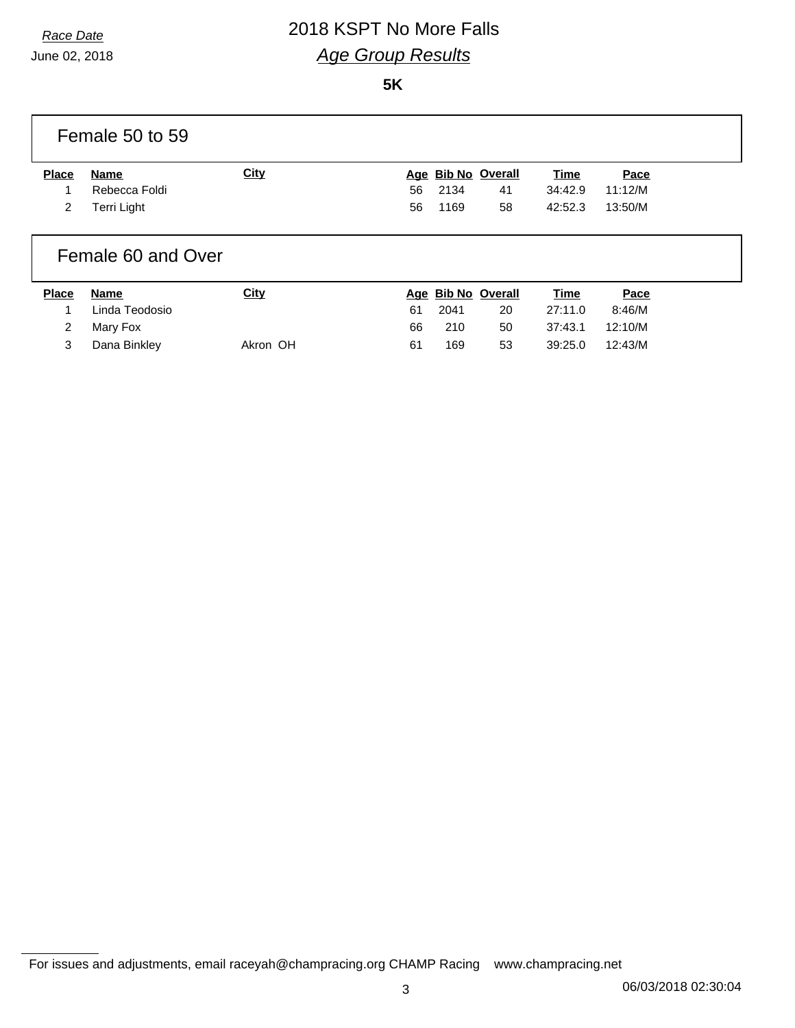## *Race Date* 2018 KSPT No More Falls *Age Group Results*

#### **5K**

|              | Female 50 to 59       |             |    |      |                    |             |         |  |
|--------------|-----------------------|-------------|----|------|--------------------|-------------|---------|--|
| <b>Place</b> | Name                  | <b>City</b> |    |      | Age Bib No Overall | <u>Time</u> | Pace    |  |
|              | Rebecca Foldi         |             | 56 | 2134 | 41                 | 34:42.9     | 11:12/M |  |
| 2            | Terri Light           |             | 56 | 1169 | 58                 | 42:52.3     | 13:50/M |  |
|              |                       |             |    |      |                    |             |         |  |
|              | $F$ amala 60 and Over |             |    |      |                    |             |         |  |

#### emale 60 and Over

| <b>Place</b> | Name           | <b>City</b> |    | Age Bib No Overall |    | Time    | Pace    |
|--------------|----------------|-------------|----|--------------------|----|---------|---------|
|              | Linda Teodosio |             | 61 | 2041               | 20 | 27:11.0 | 8:46/M  |
| 2            | Marv Fox       |             | 66 | 210                | 50 | 37:43.1 | 12:10/M |
| 3            | Dana Binkley   | Akron OH    | 61 | 169                | 53 | 39:25.0 | 12:43/M |

For issues and adjustments, email raceyah@champracing.org CHAMP Racing www.champracing.net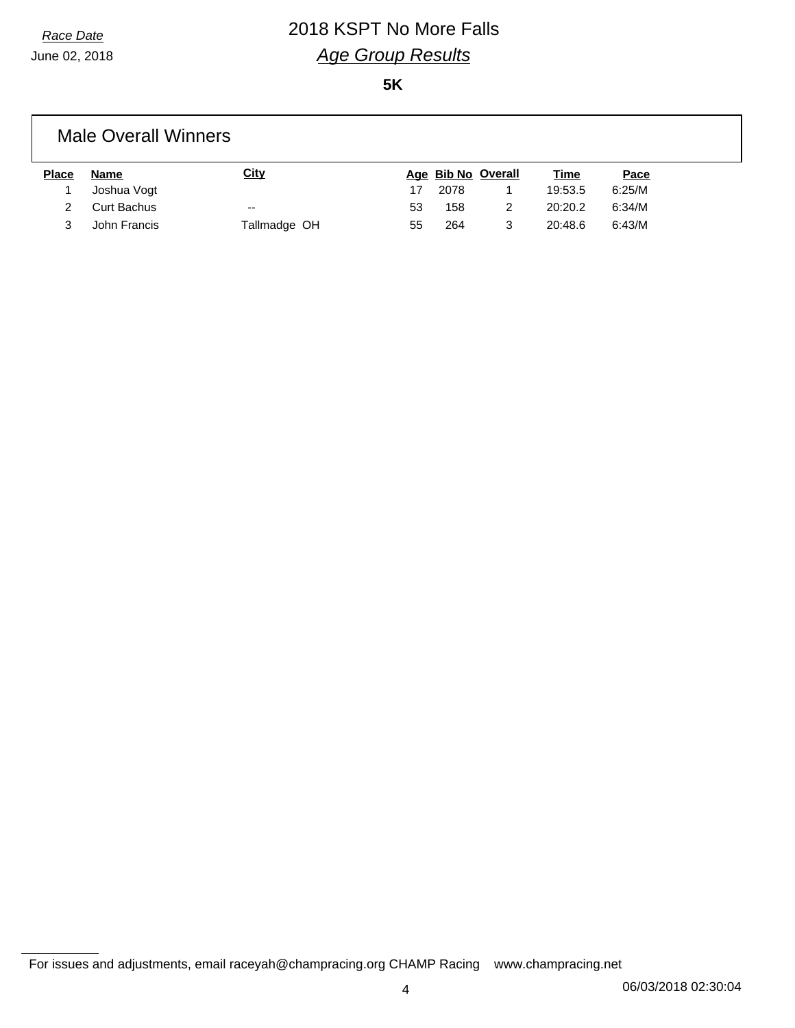# *Race Date* 2018 KSPT No More Falls *Age Group Results*

**5K**

#### Male Overall Winners **Place Name City Age Bib No Overall Time Pace** 1 Joshua Vogt 17 2078 1 19:53.5 6:25/M 2 Curt Bachus -- 53 158 2 20:20.2 6:34/M 3 John Francis Tallmadge OH 55 264 3 20:48.6 6:43/M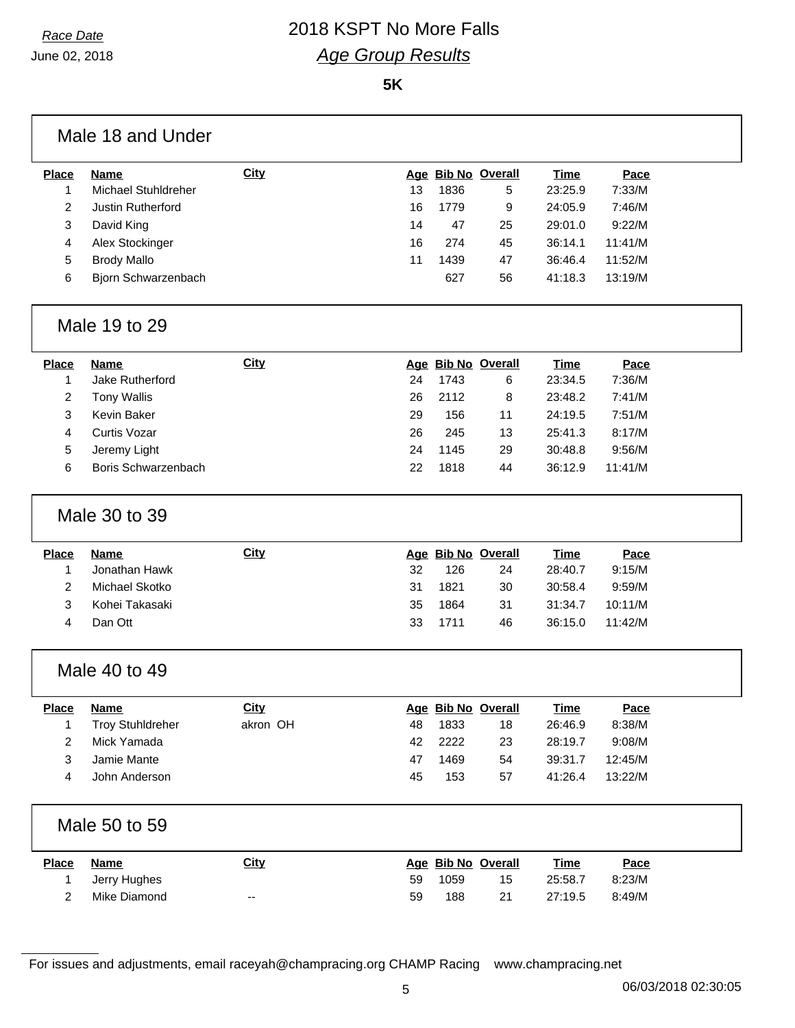### *Race Date* 2018 KSPT No More Falls *Age Group Results*

**5K**

|                | Male 18 and Under        |             |    |      |                    |             |         |
|----------------|--------------------------|-------------|----|------|--------------------|-------------|---------|
| <b>Place</b>   | <b>Name</b>              | <b>City</b> |    |      | Age Bib No Overall | <b>Time</b> | Pace    |
| 1              | Michael Stuhldreher      |             | 13 | 1836 | 5                  | 23:25.9     | 7:33/M  |
| $\overline{2}$ | <b>Justin Rutherford</b> |             | 16 | 1779 | 9                  | 24:05.9     | 7:46/M  |
| 3              | David King               |             | 14 | 47   | 25                 | 29:01.0     | 9:22/M  |
| 4              | Alex Stockinger          |             | 16 | 274  | 45                 | 36:14.1     | 11:41/M |
| 5              | <b>Brody Mallo</b>       |             | 11 | 1439 | 47                 | 36:46.4     | 11:52/M |
| 6              | Bjorn Schwarzenbach      |             |    | 627  | 56                 | 41:18.3     | 13:19/M |
|                | Male 19 to 29            |             |    |      |                    |             |         |
| <b>Place</b>   | <b>Name</b>              | <b>City</b> |    |      | Age Bib No Overall | <b>Time</b> | Pace    |
| 1              | Jake Rutherford          |             | 24 | 1743 | 6                  | 23:34.5     | 7:36/M  |
| $\overline{c}$ | <b>Tony Wallis</b>       |             | 26 | 2112 | 8                  | 23:48.2     | 7:41/M  |
| 3              | Kevin Baker              |             | 29 | 156  | 11                 | 24:19.5     | 7:51/M  |
| 4              | <b>Curtis Vozar</b>      |             | 26 | 245  | 13                 | 25:41.3     | 8:17/M  |
| 5              | Jeremy Light             |             | 24 | 1145 | 29                 | 30:48.8     | 9:56/M  |
| 6              | Boris Schwarzenbach      |             | 22 | 1818 | 44                 | 36:12.9     | 11:41/M |
|                | Male 30 to 39            |             |    |      |                    |             |         |
| <b>Place</b>   | <b>Name</b>              | <b>City</b> |    |      | Age Bib No Overall | <b>Time</b> | Pace    |
| $\mathbf{1}$   | Jonathan Hawk            |             | 32 | 126  | 24                 | 28:40.7     | 9:15/M  |
| $\overline{2}$ | Michael Skotko           |             | 31 | 1821 | 30                 | 30:58.4     | 9:59/M  |
| 3              | Kohei Takasaki           |             | 35 | 1864 | 31                 | 31:34.7     | 10:11/M |
| $\overline{4}$ | Dan Ott                  |             | 33 | 1711 | 46                 | 36:15.0     | 11:42/M |
|                | Male 40 to 49            |             |    |      |                    |             |         |
| <b>Place</b>   | <b>Name</b>              | <b>City</b> |    |      | Age Bib No Overall | <b>Time</b> | Pace    |
| 1              | <b>Troy Stuhldreher</b>  | akron OH    | 48 | 1833 | 18                 | 26:46.9     | 8:38/M  |
|                |                          |             |    |      |                    |             |         |
| $\overline{2}$ | Mick Yamada              |             | 42 | 2222 | 23                 | 28:19.7     | 9:08/M  |
| 3              | Jamie Mante              |             | 47 | 1469 | 54                 | 39:31.7     | 12:45/M |
| 4              | John Anderson            |             | 45 | 153  | 57                 | 41:26.4     | 13:22/M |
|                | Male 50 to 59            |             |    |      |                    |             |         |
| <b>Place</b>   | <b>Name</b>              | <b>City</b> |    |      | Age Bib No Overall | <b>Time</b> | Pace    |
| 1              | Jerry Hughes             |             | 59 | 1059 | 15                 | 25:58.7     | 8:23/M  |